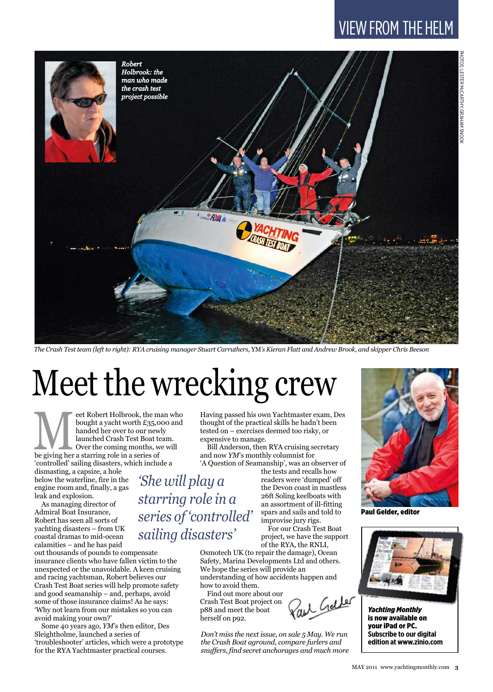## VIEW FROM the helm



*The Crash Test team (left to right): RYA cruising manager Stuart Carruthers,* YM*'s Kieran Flatt and Andrew Brook, and skipper Chris Beeson*

# Meet the wrecking crew

eet Robert Holbrook, the man who<br>bought a yacht worth £35,000 and<br>handed her over to our newly<br>launched Crash Test Boat team.<br>Over the coming months, we will<br>be giving her a starring role in a series of bought a yacht worth £35,000 and handed her over to our newly launched Crash Test Boat team. Over the coming months, we will 'controlled' sailing disasters, which include a

dismasting, a capsize, a hole below the waterline, fire in the engine room and, finally, a gas leak and explosion.

As managing director of Admiral Boat Insurance, Robert has seen all sorts of yachting disasters – from UK coastal dramas to mid-ocean calamities – and he has paid

out thousands of pounds to compensate insurance clients who have fallen victim to the unexpected or the unavoidable. A keen cruising and racing yachtsman, Robert believes our Crash Test Boat series will help promote safety and good seamanship – and, perhaps, avoid some of those insurance claims! As he says: 'Why not learn from our mistakes so you can avoid making your own?'

Some 40 years ago, *YM*'s then editor, Des Sleightholme, launched a series of 'troubleshooter' articles, which were a prototype for the RYA Yachtmaster practical courses.

Having passed his own Yachtmaster exam, Des thought of the practical skills he hadn't been tested on – exercises deemed too risky, or expensive to manage.

Bill Anderson, then RYA cruising secretary and now *YM*'s monthly columnist for

'A Question of Seamanship', was an observer of

*'She will play a starring role in a series of 'controlled' sailing disasters'*

the tests and recalls how readers were 'dumped' off the Devon coast in mastless 26ft Soling keelboats with an assortment of ill-fitting spars and sails and told to improvise jury rigs.

For our Crash Test Boat project, we have the support of the RYA, the RNLI,

Geller

Osmotech UK (to repair the damage), Ocean Safety, Marina Developments Ltd and others. We hope the series will provide an understanding of how accidents happen and how to avoid them.

Find out more about our Crash Test Boat project on p88 and meet the boat herself on p92.

*Don't miss the next issue, on sale 5 May. We run the Crash Boat aground, compare furlers and snuffers, find secret anchorages and much more* 



Paul Gelder, editor



*Yachting Monthly* is now available on your iPad or PC. **Subscribe to our digital edition at www.zinio.com**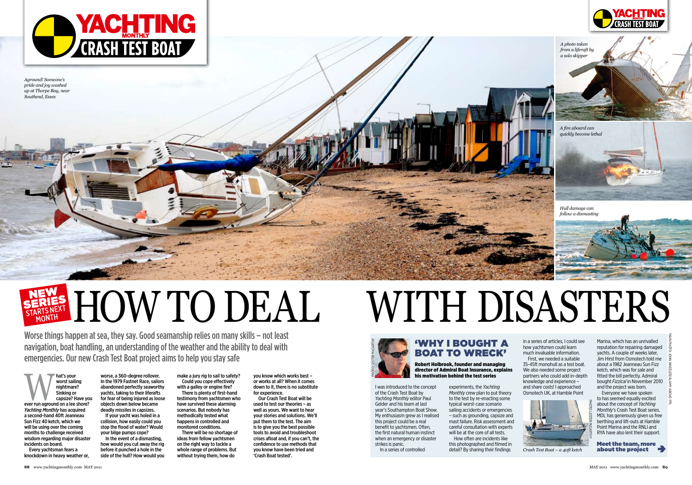# NEW SERIES

Mat's your<br>
worst sailing<br>
nightmare?<br>
Sinking or<br>
capsize? Have you<br>
ever run aground on a lee shore? worst sailing nightmare? Sinking or capsize? Have you *Yachting Monthly* has acquired a second-hand 40ft Jeanneau Sun Fizz 40 ketch, which we will be using over the coming months to challenge received wisdom regarding major disaster incidents on board.

Every yachtsman fears a knockdown in heavy weather or,

worse, a 360-degree rollover. In the 1979 Fastnet Race, sailors abandoned perfectly seaworthy yachts, taking to their liferafts for fear of being injured as loose objects down below became deadly missiles in capsizes.

make a jury rig to sail to safety? Could you cope effectively with a galley or engine fire? There is plenty of first-hand testimony from yachtsmen who have survived these alarming scenarios. But nobody has methodically tested what happens in controlled and monitored conditions. There will be no shortage of

If your yacht was holed in a collision, how easily could you stop the flood of water? Would your bilge pumps cope?

In the event of a dismasting, how would you cut away the rig before it punched a hole in the side of the hull? How would you

ideas from fellow yachtsmen on the right way to tackle a whole range of problems. But without trying them, how do

you know which works best – or works at all? When it comes down to it, there is no substitute for experience.

Our Crash Test Boat will be used to test our theories – as well as yours. We want to hear your stories and solutions. We'll put them to the test. The aim is to give you the best possible tools to avoid and troubleshoot crises afloat and, if you can't, the confidence to use methods that you know have been tried and 'Crash Boat tested'.

# WITH DISASTERS

I was introduced to the concept of the Crash Test Boat by *Yachting Monthly* editor Paul Gelder and his team at last year's Southampton Boat Show. My enthusiasm grew as I realised this project could be a real benefit to yachtsmen. Often, the first natural human instinct when an emergency or disaster strikes is panic.

In a series of controlled

experiments, the *Yachting Monthly* crew plan to put theory to the test by re-enacting some typical worst-case scenario sailing accidents or emergencies – such as grounding, capsize and mast failure. Risk assessment and careful consultation with experts will be at the core of all tests. How often are incidents like

this photographed and filmed in detail? By sharing their findings



Worse things happen at sea, they say. Good seamanship relies on many skills – not least navigation, boat handling, an understanding of the weather and the ability to deal with emergencies. Our new Crash Test Boat project aims to help you stay safe

#### 'Why I bought a **BOAT TO WRECK'** Robert Holbrook, founder and managing

director of Admiral Boat Insurance, explains his motivation behind the test series

in a series of articles, I could see how yachtsmen could learn much invaluable information.

First, we needed a suitable 35-45ft monohull as a test boat. We also needed some project partners who could add in-depth knowledge and experience – and share costs! I approached Osmotech UK, at Hamble Point

Marina, which has an unrivalled reputation for repairing damaged yachts. A couple of weeks later, Jim Hirst from Osmotech told me about a 1982 Jeanneau Sun Fizz ketch, which was for sale and fitted the bill perfectly. Admiral bought *Fizzical* in November 2010 and the project was born.

Everyone we have spoken to has seemed equally excited about the concept of *Yachting Monthly*'s Crash Test Boat series. MDL has generously given us free berthing and lift-outs at Hamble Point Marina and the RNLI and RYA have also lent their support.

Meet the team, more about the project





*Aground! Someone's pride and joy washed up at Thorpe Bay, near Southend, Essex*



*Crash Test Boat – a 40ft ketch*

*A photo taken from a liferaft by a solo skipper*

*Hull damage can follow a dismasting*

*A fire aboard can quickly become lethal*